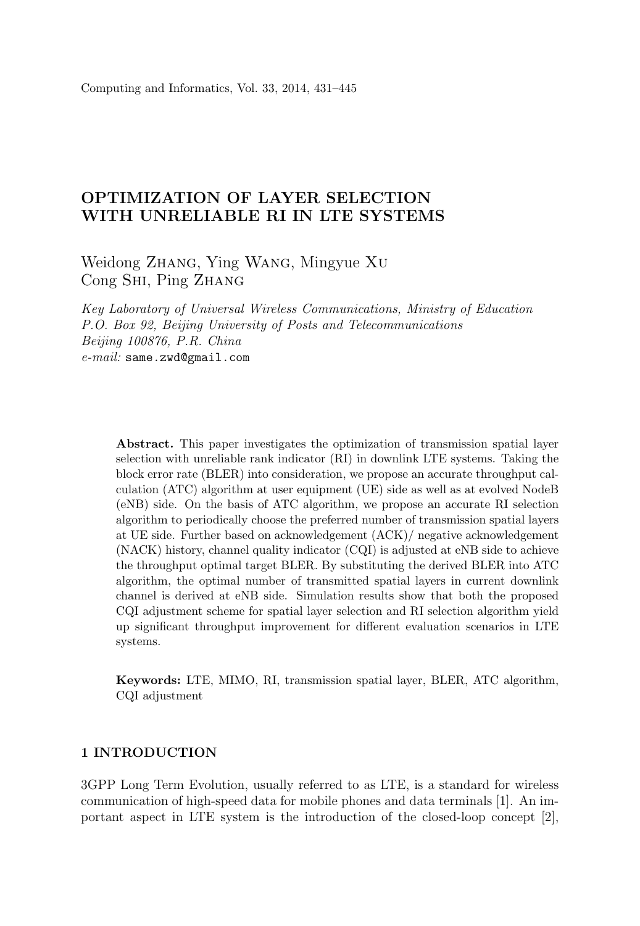# OPTIMIZATION OF LAYER SELECTION WITH UNRELIABLE RI IN LTE SYSTEMS

Weidong Zhang, Ying Wang, Mingyue Xu Cong Shi, Ping Zhang

Key Laboratory of Universal Wireless Communications, Ministry of Education P.O. Box 92, Beijing University of Posts and Telecommunications Beijing 100876, P.R. China e-mail: same.zwd@gmail.com

Abstract. This paper investigates the optimization of transmission spatial layer selection with unreliable rank indicator (RI) in downlink LTE systems. Taking the block error rate (BLER) into consideration, we propose an accurate throughput calculation (ATC) algorithm at user equipment (UE) side as well as at evolved NodeB (eNB) side. On the basis of ATC algorithm, we propose an accurate RI selection algorithm to periodically choose the preferred number of transmission spatial layers at UE side. Further based on acknowledgement (ACK)/ negative acknowledgement (NACK) history, channel quality indicator (CQI) is adjusted at eNB side to achieve the throughput optimal target BLER. By substituting the derived BLER into ATC algorithm, the optimal number of transmitted spatial layers in current downlink channel is derived at eNB side. Simulation results show that both the proposed CQI adjustment scheme for spatial layer selection and RI selection algorithm yield up significant throughput improvement for different evaluation scenarios in LTE systems.

Keywords: LTE, MIMO, RI, transmission spatial layer, BLER, ATC algorithm, CQI adjustment

## 1 INTRODUCTION

3GPP Long Term Evolution, usually referred to as LTE, is a standard for wireless communication of high-speed data for mobile phones and data terminals [1]. An important aspect in LTE system is the introduction of the closed-loop concept [2],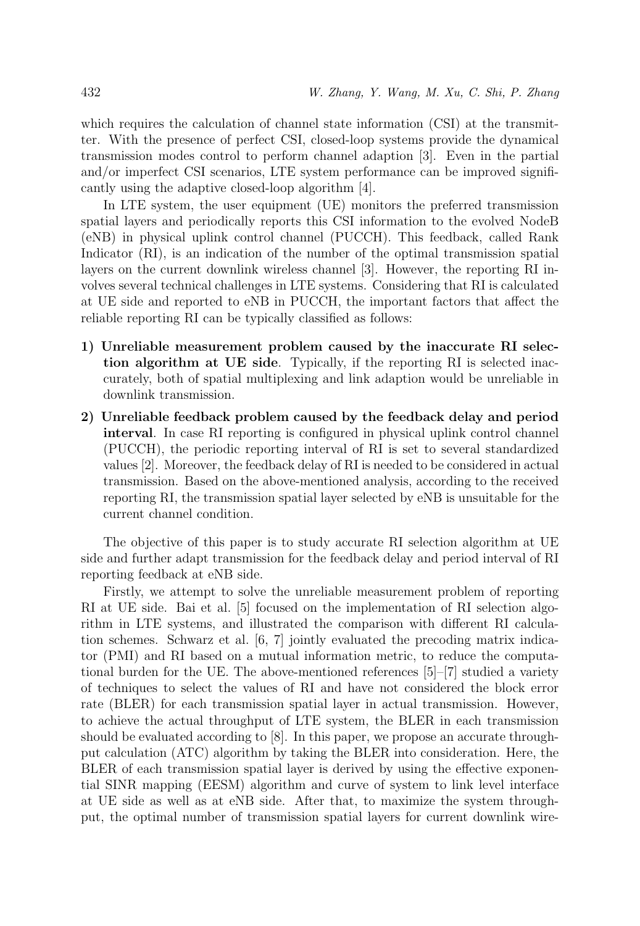which requires the calculation of channel state information (CSI) at the transmitter. With the presence of perfect CSI, closed-loop systems provide the dynamical transmission modes control to perform channel adaption [3]. Even in the partial and/or imperfect CSI scenarios, LTE system performance can be improved significantly using the adaptive closed-loop algorithm [4].

In LTE system, the user equipment (UE) monitors the preferred transmission spatial layers and periodically reports this CSI information to the evolved NodeB (eNB) in physical uplink control channel (PUCCH). This feedback, called Rank Indicator (RI), is an indication of the number of the optimal transmission spatial layers on the current downlink wireless channel [3]. However, the reporting RI involves several technical challenges in LTE systems. Considering that RI is calculated at UE side and reported to eNB in PUCCH, the important factors that affect the reliable reporting RI can be typically classified as follows:

- 1) Unreliable measurement problem caused by the inaccurate RI selection algorithm at UE side. Typically, if the reporting RI is selected inaccurately, both of spatial multiplexing and link adaption would be unreliable in downlink transmission.
- 2) Unreliable feedback problem caused by the feedback delay and period interval. In case RI reporting is configured in physical uplink control channel (PUCCH), the periodic reporting interval of RI is set to several standardized values [2]. Moreover, the feedback delay of RI is needed to be considered in actual transmission. Based on the above-mentioned analysis, according to the received reporting RI, the transmission spatial layer selected by eNB is unsuitable for the current channel condition.

The objective of this paper is to study accurate RI selection algorithm at UE side and further adapt transmission for the feedback delay and period interval of RI reporting feedback at eNB side.

Firstly, we attempt to solve the unreliable measurement problem of reporting RI at UE side. Bai et al. [5] focused on the implementation of RI selection algorithm in LTE systems, and illustrated the comparison with different RI calculation schemes. Schwarz et al. [6, 7] jointly evaluated the precoding matrix indicator (PMI) and RI based on a mutual information metric, to reduce the computational burden for the UE. The above-mentioned references [5]–[7] studied a variety of techniques to select the values of RI and have not considered the block error rate (BLER) for each transmission spatial layer in actual transmission. However, to achieve the actual throughput of LTE system, the BLER in each transmission should be evaluated according to [8]. In this paper, we propose an accurate throughput calculation (ATC) algorithm by taking the BLER into consideration. Here, the BLER of each transmission spatial layer is derived by using the effective exponential SINR mapping (EESM) algorithm and curve of system to link level interface at UE side as well as at eNB side. After that, to maximize the system throughput, the optimal number of transmission spatial layers for current downlink wire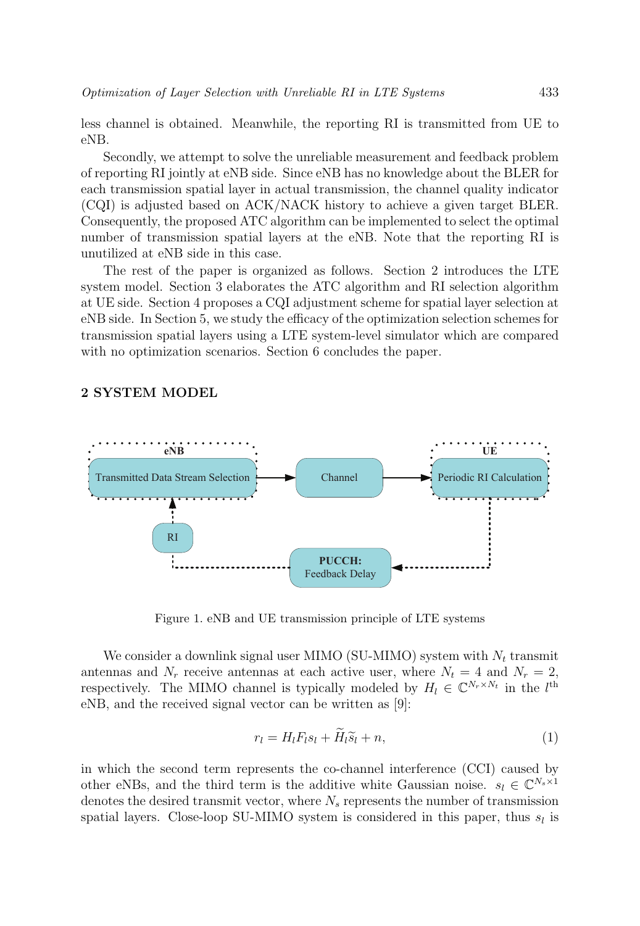less channel is obtained. Meanwhile, the reporting RI is transmitted from UE to eNB.

Secondly, we attempt to solve the unreliable measurement and feedback problem of reporting RI jointly at eNB side. Since eNB has no knowledge about the BLER for each transmission spatial layer in actual transmission, the channel quality indicator (CQI) is adjusted based on ACK/NACK history to achieve a given target BLER. Consequently, the proposed ATC algorithm can be implemented to select the optimal number of transmission spatial layers at the eNB. Note that the reporting RI is unutilized at eNB side in this case.

The rest of the paper is organized as follows. Section 2 introduces the LTE system model. Section 3 elaborates the ATC algorithm and RI selection algorithm at UE side. Section 4 proposes a CQI adjustment scheme for spatial layer selection at eNB side. In Section 5, we study the efficacy of the optimization selection schemes for transmission spatial layers using a LTE system-level simulator which are compared with no optimization scenarios. Section 6 concludes the paper.

## 2 SYSTEM MODEL



Figure 1. eNB and UE transmission principle of LTE systems

We consider a downlink signal user MIMO (SU-MIMO) system with  $N_t$  transmit antennas and  $N_r$  receive antennas at each active user, where  $N_t = 4$  and  $N_r = 2$ , respectively. The MIMO channel is typically modeled by  $H_l \in \mathbb{C}^{N_r \times N_t}$  in the  $l^{\text{th}}$ eNB, and the received signal vector can be written as [9]:

$$
r_l = H_l F_l s_l + \widetilde{H}_l \widetilde{s}_l + n,\tag{1}
$$

in which the second term represents the co-channel interference (CCI) caused by other eNBs, and the third term is the additive white Gaussian noise.  $s_l \in \mathbb{C}^{N_s \times 1}$ denotes the desired transmit vector, where  $N_s$  represents the number of transmission spatial layers. Close-loop SU-MIMO system is considered in this paper, thus  $s_l$  is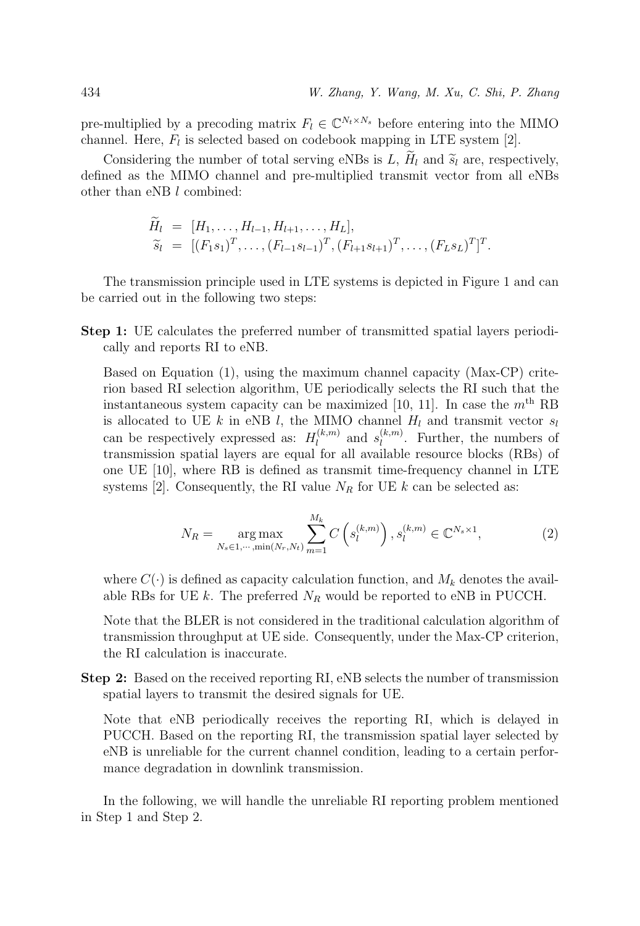pre-multiplied by a precoding matrix  $F_l \in \mathbb{C}^{N_t \times N_s}$  before entering into the MIMO channel. Here,  $F_l$  is selected based on codebook mapping in LTE system [2].

Considering the number of total serving eNBs is L,  $H_l$  and  $\tilde{s}_l$  are, respectively, defined as the MIMO channel and pre-multiplied transmit vector from all eNBs other than eNB l combined:

$$
\widetilde{H}_l = [H_1, \ldots, H_{l-1}, H_{l+1}, \ldots, H_L], \n\widetilde{s}_l = [(F_1s_1)^T, \ldots, (F_{l-1}s_{l-1})^T, (F_{l+1}s_{l+1})^T, \ldots, (F_Ls_L)^T]^T.
$$

The transmission principle used in LTE systems is depicted in Figure 1 and can be carried out in the following two steps:

Step 1: UE calculates the preferred number of transmitted spatial layers periodically and reports RI to eNB.

Based on Equation (1), using the maximum channel capacity (Max-CP) criterion based RI selection algorithm, UE periodically selects the RI such that the instantaneous system capacity can be maximized [10, 11]. In case the  $m<sup>th</sup>$  RB is allocated to UE k in eNB l, the MIMO channel  $H_l$  and transmit vector  $s_l$ can be respectively expressed as:  $H_l^{(k,m)}$  and  $s_l^{(k,m)}$ . Further, the numbers of transmission spatial layers are equal for all available resource blocks (RBs) of one UE [10], where RB is defined as transmit time-frequency channel in LTE systems [2]. Consequently, the RI value  $N_R$  for UE k can be selected as:

$$
N_R = \underset{N_s \in 1, \cdots, \min(N_r, N_t)}{\arg \max} \sum_{m=1}^{M_k} C\left(s_l^{(k,m)}\right), s_l^{(k,m)} \in \mathbb{C}^{N_s \times 1},\tag{2}
$$

where  $C(\cdot)$  is defined as capacity calculation function, and  $M_k$  denotes the available RBs for UE k. The preferred  $N_R$  would be reported to eNB in PUCCH.

Note that the BLER is not considered in the traditional calculation algorithm of transmission throughput at UE side. Consequently, under the Max-CP criterion, the RI calculation is inaccurate.

Step 2: Based on the received reporting RI, eNB selects the number of transmission spatial layers to transmit the desired signals for UE.

Note that eNB periodically receives the reporting RI, which is delayed in PUCCH. Based on the reporting RI, the transmission spatial layer selected by eNB is unreliable for the current channel condition, leading to a certain performance degradation in downlink transmission.

In the following, we will handle the unreliable RI reporting problem mentioned in Step 1 and Step 2.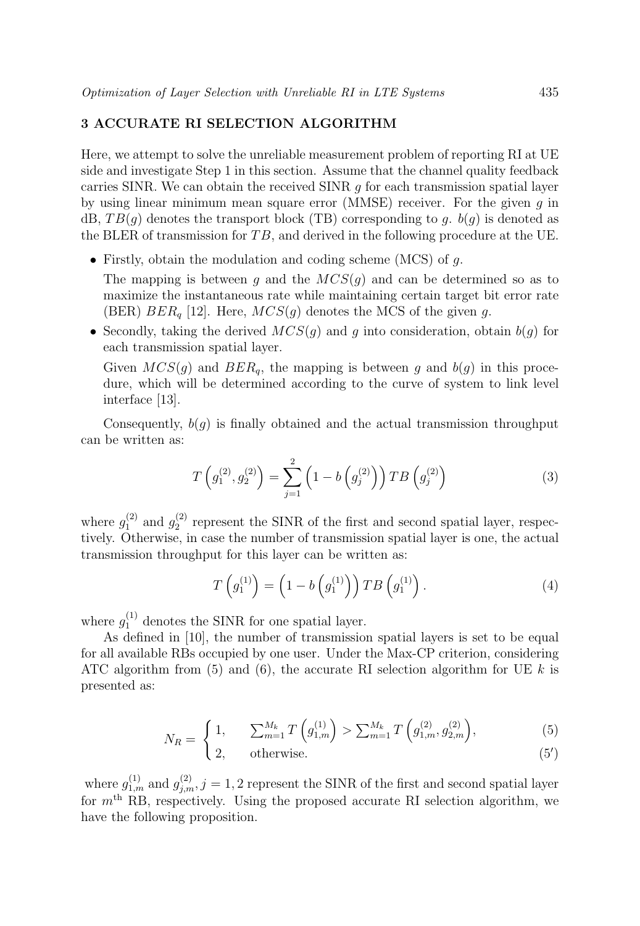## 3 ACCURATE RI SELECTION ALGORITHM

Here, we attempt to solve the unreliable measurement problem of reporting RI at UE side and investigate Step 1 in this section. Assume that the channel quality feedback carries SINR. We can obtain the received SINR  $q$  for each transmission spatial layer by using linear minimum mean square error (MMSE) receiver. For the given  $q$  in dB,  $TB(g)$  denotes the transport block (TB) corresponding to g.  $b(g)$  is denoted as the BLER of transmission for  $TB$ , and derived in the following procedure at the UE.

• Firstly, obtain the modulation and coding scheme (MCS) of  $q$ .

The mapping is between g and the  $MCS(g)$  and can be determined so as to maximize the instantaneous rate while maintaining certain target bit error rate (BER)  $BER<sub>q</sub>$  [12]. Here,  $MCS(q)$  denotes the MCS of the given g.

• Secondly, taking the derived  $MCS(g)$  and g into consideration, obtain  $b(g)$  for each transmission spatial layer.

Given  $MCS(g)$  and  $BER_q$ , the mapping is between g and  $b(g)$  in this procedure, which will be determined according to the curve of system to link level interface [13].

Consequently,  $b(q)$  is finally obtained and the actual transmission throughput can be written as:

$$
T\left(g_1^{(2)}, g_2^{(2)}\right) = \sum_{j=1}^2 \left(1 - b\left(g_j^{(2)}\right)\right) T B\left(g_j^{(2)}\right) \tag{3}
$$

where  $g_1^{(2)}$  and  $g_2^{(2)}$  represent the SINR of the first and second spatial layer, respectively. Otherwise, in case the number of transmission spatial layer is one, the actual transmission throughput for this layer can be written as:

$$
T\left(g_1^{(1)}\right) = \left(1 - b\left(g_1^{(1)}\right)\right) T B\left(g_1^{(1)}\right). \tag{4}
$$

where  $g_1^{(1)}$  denotes the SINR for one spatial layer.

As defined in [10], the number of transmission spatial layers is set to be equal for all available RBs occupied by one user. Under the Max-CP criterion, considering ATC algorithm from  $(5)$  and  $(6)$ , the accurate RI selection algorithm for UE k is presented as:

$$
N_R = \begin{cases} 1, & \sum_{m=1}^{M_k} T\left(g_{1,m}^{(1)}\right) > \sum_{m=1}^{M_k} T\left(g_{1,m}^{(2)}, g_{2,m}^{(2)}\right), \\ 2, & \text{otherwise.} \end{cases}
$$
(5)

$$
(5')
$$
 otherwise. (5)

where  $g_{1,m}^{(1)}$  and  $g_{j,m}^{(2)}$ , j = 1, 2 represent the SINR of the first and second spatial layer for  $m<sup>th</sup>$  RB, respectively. Using the proposed accurate RI selection algorithm, we have the following proposition.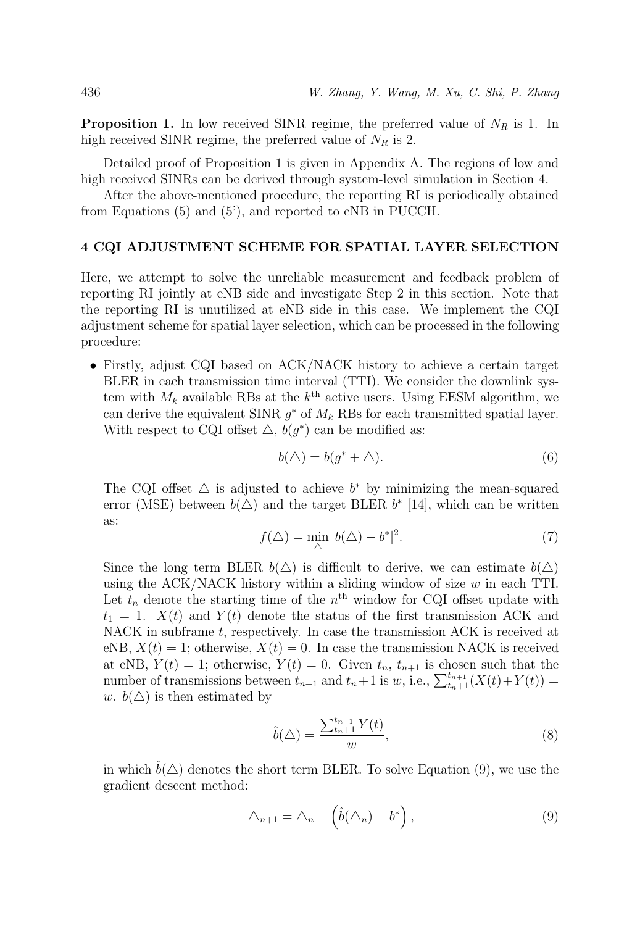**Proposition 1.** In low received SINR regime, the preferred value of  $N_R$  is 1. In high received SINR regime, the preferred value of  $N_R$  is 2.

Detailed proof of Proposition 1 is given in Appendix A. The regions of low and high received SINRs can be derived through system-level simulation in Section 4.

After the above-mentioned procedure, the reporting RI is periodically obtained from Equations (5) and (5'), and reported to eNB in PUCCH.

#### 4 CQI ADJUSTMENT SCHEME FOR SPATIAL LAYER SELECTION

Here, we attempt to solve the unreliable measurement and feedback problem of reporting RI jointly at eNB side and investigate Step 2 in this section. Note that the reporting RI is unutilized at eNB side in this case. We implement the CQI adjustment scheme for spatial layer selection, which can be processed in the following procedure:

• Firstly, adjust CQI based on ACK/NACK history to achieve a certain target BLER in each transmission time interval (TTI). We consider the downlink system with  $M_k$  available RBs at the  $k^{\text{th}}$  active users. Using EESM algorithm, we can derive the equivalent SINR  $g^*$  of  $M_k$  RBs for each transmitted spatial layer. With respect to CQI offset  $\triangle$ ,  $b(g^*)$  can be modified as:

$$
b(\Delta) = b(g^* + \Delta). \tag{6}
$$

The CQI offset  $\Delta$  is adjusted to achieve  $b^*$  by minimizing the mean-squared error (MSE) between  $b(\triangle)$  and the target BLER  $b^*$  [14], which can be written as:

$$
f(\Delta) = \min_{\Delta} |b(\Delta) - b^*|^2. \tag{7}
$$

Since the long term BLER  $b(\Delta)$  is difficult to derive, we can estimate  $b(\Delta)$ using the ACK/NACK history within a sliding window of size  $w$  in each TTI. Let  $t_n$  denote the starting time of the  $n<sup>th</sup>$  window for CQI offset update with  $t_1 = 1$ .  $X(t)$  and  $Y(t)$  denote the status of the first transmission ACK and NACK in subframe t, respectively. In case the transmission ACK is received at eNB,  $X(t) = 1$ ; otherwise,  $X(t) = 0$ . In case the transmission NACK is received at eNB,  $Y(t) = 1$ ; otherwise,  $Y(t) = 0$ . Given  $t_n$ ,  $t_{n+1}$  is chosen such that the number of transmissions between  $t_{n+1}$  and  $t_n+1$  is w, i.e.,  $\sum_{t_n+1}^{t_{n+1}} (X(t)+Y(t)) =$ w.  $b(\triangle)$  is then estimated by

$$
\hat{b}(\triangle) = \frac{\sum_{t_n+1}^{t_{n+1}} Y(t)}{w},\tag{8}
$$

in which  $\hat{b}(\triangle)$  denotes the short term BLER. To solve Equation (9), we use the gradient descent method:

$$
\triangle_{n+1} = \triangle_n - \left(\hat{b}(\triangle_n) - b^*\right),\tag{9}
$$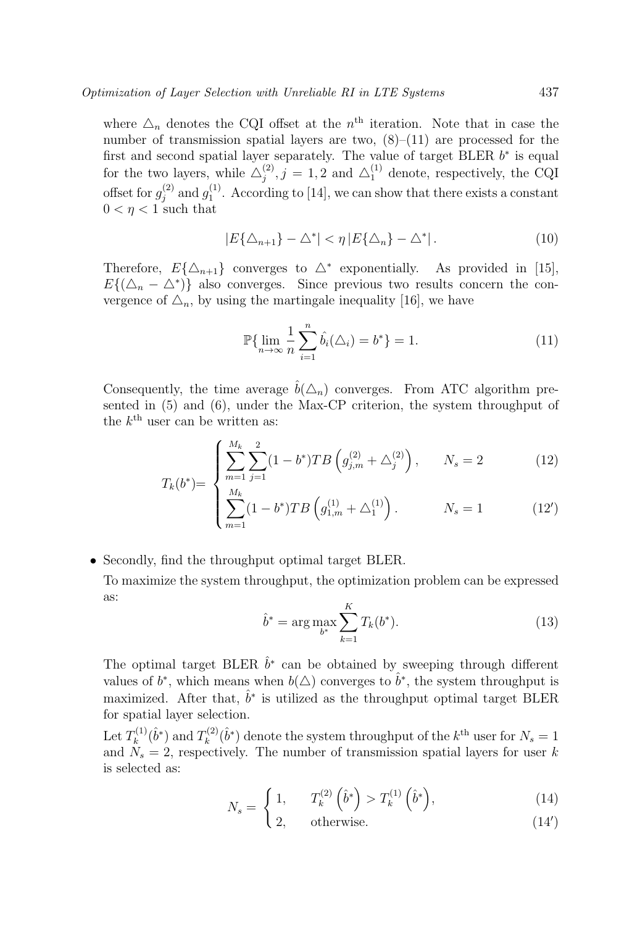where  $\Delta_n$  denotes the CQI offset at the  $n<sup>th</sup>$  iteration. Note that in case the number of transmission spatial layers are two,  $(8)$ – $(11)$  are processed for the first and second spatial layer separately. The value of target BLER  $b^*$  is equal for the two layers, while  $\Delta_j^{(2)}$ ,  $j = 1, 2$  and  $\Delta_1^{(1)}$  denote, respectively, the CQI offset for  $g_j^{(2)}$  and  $g_1^{(1)}$ . According to [14], we can show that there exists a constant  $0 < \eta < 1$  such that

$$
|E\{\Delta_{n+1}\} - \Delta^*| < \eta \, |E\{\Delta_n\} - \Delta^*| \,. \tag{10}
$$

Therefore,  $E{\{\Delta_{n+1}\}}$  converges to  $\Delta^*$  exponentially. As provided in [15],  $E\{(\Delta_n - \Delta^*)\}\$ also converges. Since previous two results concern the convergence of  $\Delta_n$ , by using the martingale inequality [16], we have

$$
\mathbb{P}\{\lim_{n \to \infty} \frac{1}{n} \sum_{i=1}^{n} \hat{b}_i(\Delta_i) = b^*\} = 1.
$$
 (11)

Consequently, the time average  $\hat{b}(\Delta_n)$  converges. From ATC algorithm presented in (5) and (6), under the Max-CP criterion, the system throughput of the  $k^{\text{th}}$  user can be written as:

$$
\int_{m=1}^{M_k} \sum_{j=1}^{2} (1 - b^*) T B \left( g_{j,m}^{(2)} + \Delta_j^{(2)} \right), \qquad N_s = 2 \tag{12}
$$

$$
T_k(b^*) = \begin{cases} \sum_{M_k}^{m=1} f^{j=1} \\ \sum_{m=1}^{M_k} (1-b^*) T B \left( g^{(1)}_{1,m} + \Delta_1^{(1)} \right) . & N_s = 1 \end{cases}
$$
 (12')

• Secondly, find the throughput optimal target BLER. To maximize the system throughput, the optimization problem can be expressed as:

$$
\hat{b}^* = \arg \max_{b^*} \sum_{k=1}^K T_k(b^*). \tag{13}
$$

The optimal target BLER  $\hat{b}^*$  can be obtained by sweeping through different values of  $b^*$ , which means when  $b(\triangle)$  converges to  $\hat{b}^*$ , the system throughput is maximized. After that,  $\hat{b}^*$  is utilized as the throughput optimal target BLER for spatial layer selection.

Let  $T_k^{(1)}(\hat{b}^*)$  and  $T_k^{(2)}(\hat{b}^*)$  denote the system throughput of the  $k^{\text{th}}$  user for  $N_s = 1$ and  $N_s = 2$ , respectively. The number of transmission spatial layers for user k is selected as:

$$
N_s = \begin{cases} 1, & T_k^{(2)} \left(\hat{b}^* \right) > T_k^{(1)} \left(\hat{b}^* \right), \\ 2, & \text{otherwise} \end{cases}
$$
 (14)

$$
\begin{cases}\n2, & \text{otherwise.} \n\end{cases} (14')
$$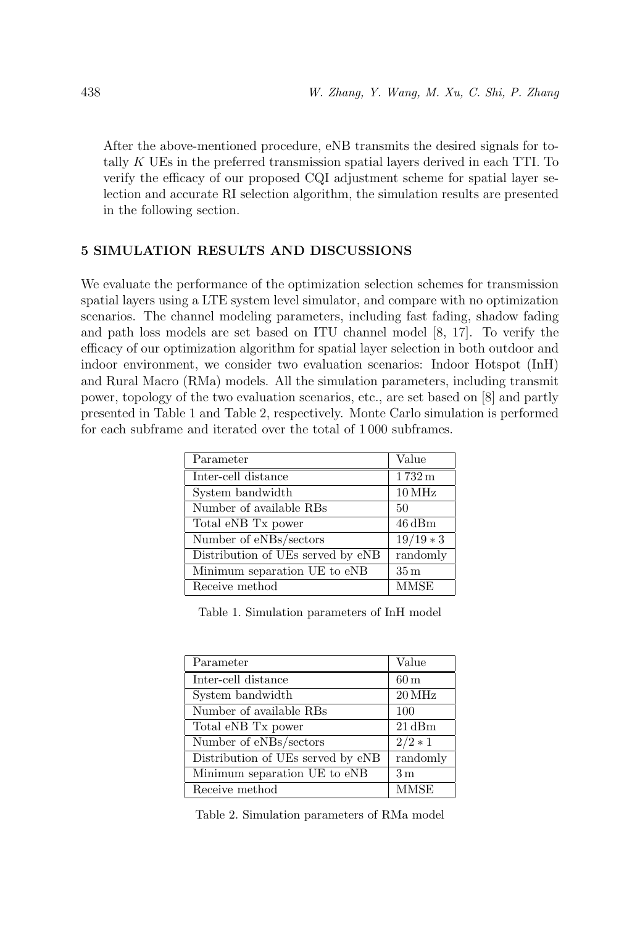After the above-mentioned procedure, eNB transmits the desired signals for totally K UEs in the preferred transmission spatial layers derived in each TTI. To verify the efficacy of our proposed CQI adjustment scheme for spatial layer selection and accurate RI selection algorithm, the simulation results are presented in the following section.

## 5 SIMULATION RESULTS AND DISCUSSIONS

We evaluate the performance of the optimization selection schemes for transmission spatial layers using a LTE system level simulator, and compare with no optimization scenarios. The channel modeling parameters, including fast fading, shadow fading and path loss models are set based on ITU channel model [8, 17]. To verify the efficacy of our optimization algorithm for spatial layer selection in both outdoor and indoor environment, we consider two evaluation scenarios: Indoor Hotspot (InH) and Rural Macro (RMa) models. All the simulation parameters, including transmit power, topology of the two evaluation scenarios, etc., are set based on [8] and partly presented in Table 1 and Table 2, respectively. Monte Carlo simulation is performed for each subframe and iterated over the total of 1 000 subframes.

| Parameter                         | Value               |
|-----------------------------------|---------------------|
| Inter-cell distance               | $1732 \,\mathrm{m}$ |
| System bandwidth                  | $10\,\mathrm{MHz}$  |
| Number of available RBs           | 50                  |
| Total eNB Tx power                | $46\,\mathrm{dBm}$  |
| Number of eNBs/sectors            | $19/19*3$           |
| Distribution of UEs served by eNB | randomly            |
| Minimum separation UE to eNB      | $35 \,\mathrm{m}$   |
| Receive method                    | <b>MMSE</b>         |

Table 1. Simulation parameters of InH model

| Parameter                         | Value              |
|-----------------------------------|--------------------|
| Inter-cell distance               | $60 \,\mathrm{m}$  |
| System bandwidth                  | $20\,\mathrm{MHz}$ |
| Number of available RBs           | 100                |
| Total eNB Tx power                | $21\,\mathrm{dBm}$ |
| Number of eNBs/sectors            | $2/2 * 1$          |
| Distribution of UEs served by eNB | randomly           |
| Minimum separation UE to eNB      | 3 <sub>m</sub>     |
| Receive method                    | <b>MMSE</b>        |

Table 2. Simulation parameters of RMa model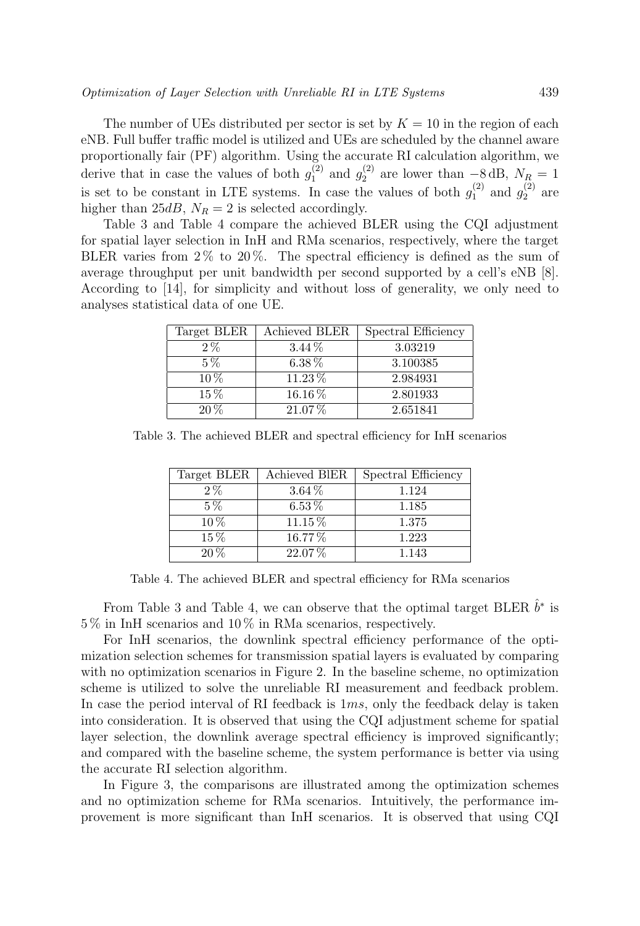The number of UEs distributed per sector is set by  $K = 10$  in the region of each eNB. Full buffer traffic model is utilized and UEs are scheduled by the channel aware proportionally fair (PF) algorithm. Using the accurate RI calculation algorithm, we derive that in case the values of both  $g_1^{(2)}$  and  $g_2^{(2)}$  are lower than  $-8$  dB,  $N_{R_2} = 1$ is set to be constant in LTE systems. In case the values of both  $g_1^{(2)}$  and  $g_2^{(2)}$  are higher than 25dB,  $N_R = 2$  is selected accordingly.

Table 3 and Table 4 compare the achieved BLER using the CQI adjustment for spatial layer selection in InH and RMa scenarios, respectively, where the target BLER varies from  $2\%$  to  $20\%$ . The spectral efficiency is defined as the sum of average throughput per unit bandwidth per second supported by a cell's eNB [8]. According to [14], for simplicity and without loss of generality, we only need to analyses statistical data of one UE.

| Target BLER | Achieved BLER | Spectral Efficiency |
|-------------|---------------|---------------------|
| $2\%$       | $3.44\%$      | 3.03219             |
| $5\%$       | $6.38\%$      | 3.100385            |
| $10\%$      | 11.23%        | 2.984931            |
| $15\%$      | $16.16\,\%$   | 2.801933            |
| $20\%$      | 21.07%        | 2.651841            |

Table 3. The achieved BLER and spectral efficiency for InH scenarios

| Target BLER | Achieved BIER | Spectral Efficiency |
|-------------|---------------|---------------------|
| $2\%$       | $3.64\%$      | 1.124               |
| $5\%$       | $6.53\%$      | 1.185               |
| $10\%$      | $11.15\%$     | 1.375               |
| $15\%$      | 16.77%        | 1.223               |
| $20\%$      | 22.07%        | 1.143               |

Table 4. The achieved BLER and spectral efficiency for RMa scenarios

From Table 3 and Table 4, we can observe that the optimal target BLER  $\hat{b}^*$  is 5 % in InH scenarios and 10 % in RMa scenarios, respectively.

For InH scenarios, the downlink spectral efficiency performance of the optimization selection schemes for transmission spatial layers is evaluated by comparing with no optimization scenarios in Figure 2. In the baseline scheme, no optimization scheme is utilized to solve the unreliable RI measurement and feedback problem. In case the period interval of RI feedback is 1ms, only the feedback delay is taken into consideration. It is observed that using the CQI adjustment scheme for spatial layer selection, the downlink average spectral efficiency is improved significantly; and compared with the baseline scheme, the system performance is better via using the accurate RI selection algorithm.

In Figure 3, the comparisons are illustrated among the optimization schemes and no optimization scheme for RMa scenarios. Intuitively, the performance improvement is more significant than InH scenarios. It is observed that using CQI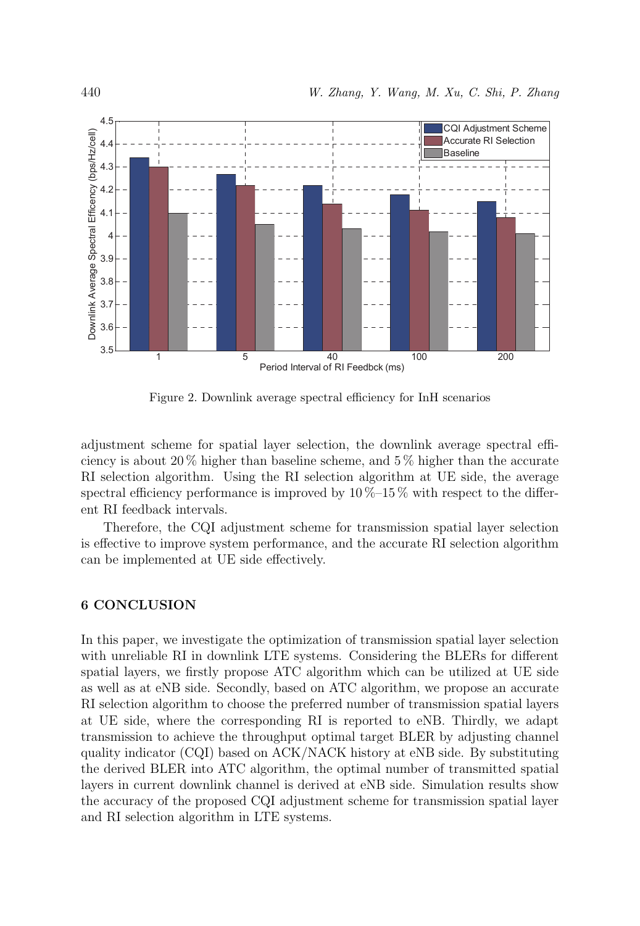

Figure 2. Downlink average spectral efficiency for InH scenarios

adjustment scheme for spatial layer selection, the downlink average spectral efficiency is about  $20\%$  higher than baseline scheme, and  $5\%$  higher than the accurate RI selection algorithm. Using the RI selection algorithm at UE side, the average spectral efficiency performance is improved by  $10\,\%-15\,\%$  with respect to the different RI feedback intervals.

Therefore, the CQI adjustment scheme for transmission spatial layer selection is effective to improve system performance, and the accurate RI selection algorithm can be implemented at UE side effectively.

## 6 CONCLUSION

In this paper, we investigate the optimization of transmission spatial layer selection with unreliable RI in downlink LTE systems. Considering the BLERs for different spatial layers, we firstly propose ATC algorithm which can be utilized at UE side as well as at eNB side. Secondly, based on ATC algorithm, we propose an accurate RI selection algorithm to choose the preferred number of transmission spatial layers at UE side, where the corresponding RI is reported to eNB. Thirdly, we adapt transmission to achieve the throughput optimal target BLER by adjusting channel quality indicator (CQI) based on ACK/NACK history at eNB side. By substituting the derived BLER into ATC algorithm, the optimal number of transmitted spatial layers in current downlink channel is derived at eNB side. Simulation results show the accuracy of the proposed CQI adjustment scheme for transmission spatial layer and RI selection algorithm in LTE systems.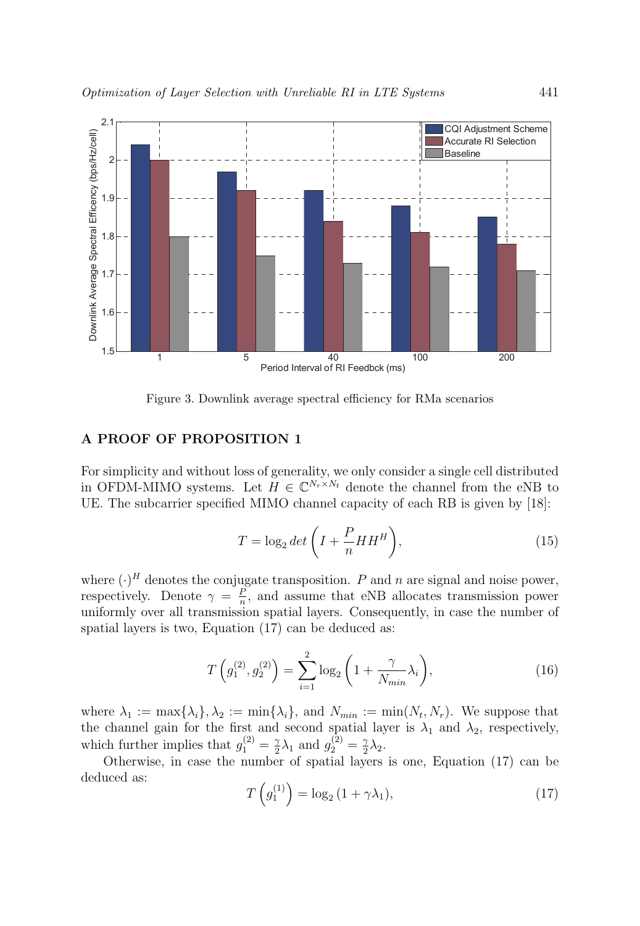

Figure 3. Downlink average spectral efficiency for RMa scenarios

#### A PROOF OF PROPOSITION 1

For simplicity and without loss of generality, we only consider a single cell distributed in OFDM-MIMO systems. Let  $H \in \mathbb{C}^{N_r \times N_t}$  denote the channel from the eNB to UE. The subcarrier specified MIMO channel capacity of each RB is given by [18]:

$$
T = \log_2 \det \left( I + \frac{P}{n} H H^H \right),\tag{15}
$$

where  $(\cdot)^H$  denotes the conjugate transposition. P and n are signal and noise power, respectively. Denote  $\gamma = \frac{P}{n}$ , and assume that eNB allocates transmission power uniformly over all transmission spatial layers. Consequently, in case the number of spatial layers is two, Equation (17) can be deduced as:

$$
T\left(g_1^{(2)}, g_2^{(2)}\right) = \sum_{i=1}^2 \log_2\left(1 + \frac{\gamma}{N_{min}}\lambda_i\right),\tag{16}
$$

where  $\lambda_1 := \max{\{\lambda_i\}}, \lambda_2 := \min{\{\lambda_i\}}, \text{ and } N_{min} := \min(N_t, N_r).$  We suppose that the channel gain for the first and second spatial layer is  $\lambda_1$  and  $\lambda_2$ , respectively, which further implies that  $g_1^{(2)} = \frac{\gamma}{2}\lambda_1$  and  $g_2^{(2)} = \frac{\gamma}{2}\lambda_2$ .

Otherwise, in case the number of spatial layers is one, Equation (17) can be deduced as:

$$
T\left(g_1^{(1)}\right) = \log_2\left(1 + \gamma \lambda_1\right),\tag{17}
$$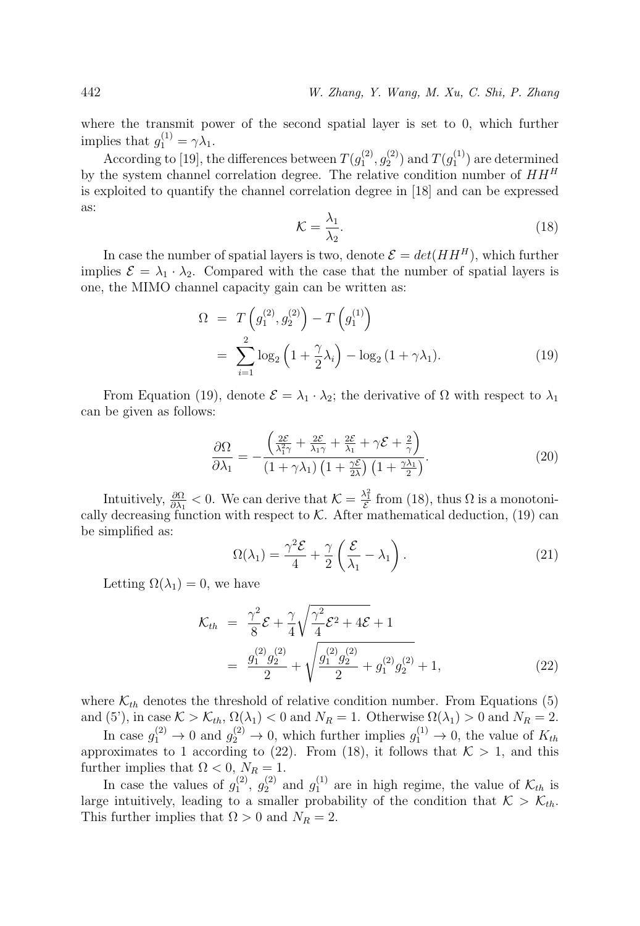where the transmit power of the second spatial layer is set to 0, which further implies that  $g_1^{(1)} = \gamma \lambda_1$ .

According to [19], the differences between  $T(g_1^{(2)}, g_2^{(2)})$  and  $T(g_1^{(1)})$  are determined by the system channel correlation degree. The relative condition number of  $HH^H$ is exploited to quantify the channel correlation degree in [18] and can be expressed as:

$$
\mathcal{K} = \frac{\lambda_1}{\lambda_2}.\tag{18}
$$

In case the number of spatial layers is two, denote  $\mathcal{E} = det(HH^H)$ , which further implies  $\mathcal{E} = \lambda_1 \cdot \lambda_2$ . Compared with the case that the number of spatial layers is one, the MIMO channel capacity gain can be written as:

$$
\Omega = T\left(g_1^{(2)}, g_2^{(2)}\right) - T\left(g_1^{(1)}\right)
$$
  
= 
$$
\sum_{i=1}^2 \log_2\left(1 + \frac{\gamma}{2}\lambda_i\right) - \log_2\left(1 + \gamma\lambda_1\right).
$$
 (19)

From Equation (19), denote  $\mathcal{E} = \lambda_1 \cdot \lambda_2$ ; the derivative of  $\Omega$  with respect to  $\lambda_1$ can be given as follows:

$$
\frac{\partial \Omega}{\partial \lambda_1} = -\frac{\left(\frac{2\mathcal{E}}{\lambda_1^2 \gamma} + \frac{2\mathcal{E}}{\lambda_1 \gamma} + \frac{2\mathcal{E}}{\lambda_1} + \gamma \mathcal{E} + \frac{2}{\gamma}\right)}{\left(1 + \gamma \lambda_1\right) \left(1 + \frac{\gamma \mathcal{E}}{2\lambda}\right) \left(1 + \frac{\gamma \lambda_1}{2}\right)}.
$$
\n(20)

Intuitively,  $\frac{\partial \Omega}{\partial \lambda_1} < 0$ . We can derive that  $\mathcal{K} = \frac{\lambda_1^2}{\mathcal{E}}$  from (18), thus  $\Omega$  is a monotonically decreasing function with respect to  $K$ . After mathematical deduction, (19) can be simplified as:

$$
\Omega(\lambda_1) = \frac{\gamma^2 \mathcal{E}}{4} + \frac{\gamma}{2} \left( \frac{\mathcal{E}}{\lambda_1} - \lambda_1 \right). \tag{21}
$$

Letting  $\Omega(\lambda_1) = 0$ , we have

$$
\mathcal{K}_{th} = \frac{\gamma^2}{8} \mathcal{E} + \frac{\gamma}{4} \sqrt{\frac{\gamma^2}{4} \mathcal{E}^2 + 4 \mathcal{E}} + 1
$$
  
= 
$$
\frac{g_1^{(2)} g_2^{(2)}}{2} + \sqrt{\frac{g_1^{(2)} g_2^{(2)}}{2} + g_1^{(2)} g_2^{(2)}} + 1,
$$
 (22)

where  $\mathcal{K}_{th}$  denotes the threshold of relative condition number. From Equations (5) and (5'), in case  $K > K_{th}$ ,  $\Omega(\lambda_1) < 0$  and  $N_R = 1$ . Otherwise  $\Omega(\lambda_1) > 0$  and  $N_R = 2$ .

In case  $g_1^{(2)} \to 0$  and  $g_2^{(2)} \to 0$ , which further implies  $g_1^{(1)} \to 0$ , the value of  $K_{th}$ approximates to 1 according to (22). From (18), it follows that  $K > 1$ , and this further implies that  $\Omega < 0$ ,  $N_R = 1$ .

In case the values of  $g_1^{(2)}$ ,  $g_2^{(2)}$  and  $g_1^{(1)}$  are in high regime, the value of  $\mathcal{K}_{th}$  is large intuitively, leading to a smaller probability of the condition that  $K > K_{th}$ . This further implies that  $\Omega > 0$  and  $N_R = 2$ .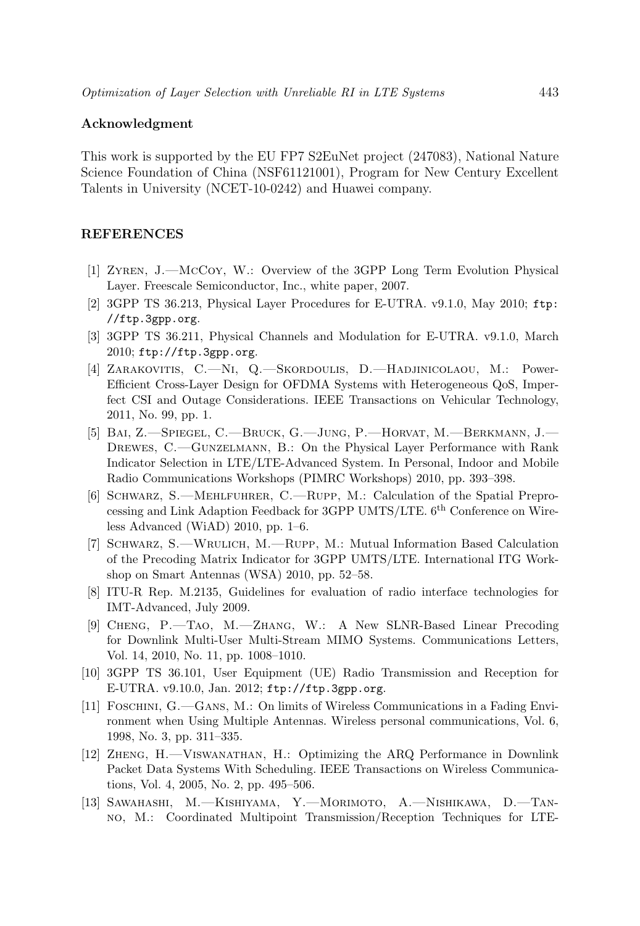#### Acknowledgment

This work is supported by the EU FP7 S2EuNet project (247083), National Nature Science Foundation of China (NSF61121001), Program for New Century Excellent Talents in University (NCET-10-0242) and Huawei company.

#### REFERENCES

- [1] Zyren, J.—McCoy, W.: Overview of the 3GPP Long Term Evolution Physical Layer. Freescale Semiconductor, Inc., white paper, 2007.
- [2] 3GPP TS 36.213, Physical Layer Procedures for E-UTRA. v9.1.0, May 2010; ftp: //ftp.3gpp.org.
- [3] 3GPP TS 36.211, Physical Channels and Modulation for E-UTRA. v9.1.0, March 2010; ftp://ftp.3gpp.org.
- [4] Zarakovitis, C.—Ni, Q.—Skordoulis, D.—Hadjinicolaou, M.: Power-Efficient Cross-Layer Design for OFDMA Systems with Heterogeneous QoS, Imperfect CSI and Outage Considerations. IEEE Transactions on Vehicular Technology, 2011, No. 99, pp. 1.
- [5] Bai, Z.—Spiegel, C.—Bruck, G.—Jung, P.—Horvat, M.—Berkmann, J.— Drewes, C.—Gunzelmann, B.: On the Physical Layer Performance with Rank Indicator Selection in LTE/LTE-Advanced System. In Personal, Indoor and Mobile Radio Communications Workshops (PIMRC Workshops) 2010, pp. 393–398.
- [6] Schwarz, S.—Mehlfuhrer, C.—Rupp, M.: Calculation of the Spatial Preprocessing and Link Adaption Feedback for 3GPP UMTS/LTE. 6<sup>th</sup> Conference on Wireless Advanced (WiAD) 2010, pp. 1–6.
- [7] Schwarz, S.—Wrulich, M.—Rupp, M.: Mutual Information Based Calculation of the Precoding Matrix Indicator for 3GPP UMTS/LTE. International ITG Workshop on Smart Antennas (WSA) 2010, pp. 52–58.
- [8] ITU-R Rep. M.2135, Guidelines for evaluation of radio interface technologies for IMT-Advanced, July 2009.
- [9] Cheng, P.—Tao, M.—Zhang, W.: A New SLNR-Based Linear Precoding for Downlink Multi-User Multi-Stream MIMO Systems. Communications Letters, Vol. 14, 2010, No. 11, pp. 1008–1010.
- [10] 3GPP TS 36.101, User Equipment (UE) Radio Transmission and Reception for E-UTRA. v9.10.0, Jan. 2012; ftp://ftp.3gpp.org.
- [11] Foschini, G.—Gans, M.: On limits of Wireless Communications in a Fading Environment when Using Multiple Antennas. Wireless personal communications, Vol. 6, 1998, No. 3, pp. 311–335.
- [12] Zheng, H.—Viswanathan, H.: Optimizing the ARQ Performance in Downlink Packet Data Systems With Scheduling. IEEE Transactions on Wireless Communications, Vol. 4, 2005, No. 2, pp. 495–506.
- [13] Sawahashi, M.—Kishiyama, Y.—Morimoto, A.—Nishikawa, D.—Tanno, M.: Coordinated Multipoint Transmission/Reception Techniques for LTE-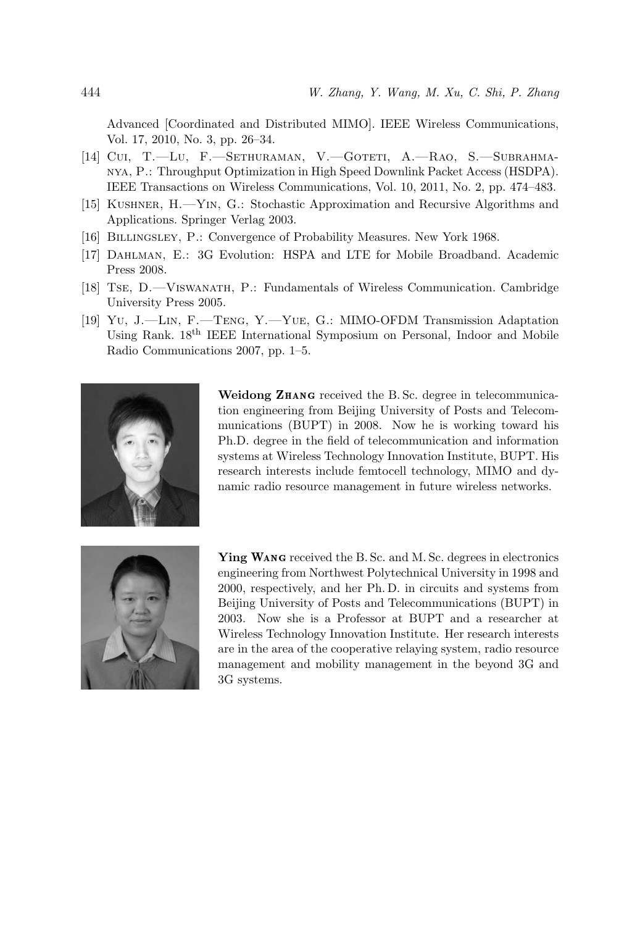Advanced [Coordinated and Distributed MIMO]. IEEE Wireless Communications, Vol. 17, 2010, No. 3, pp. 26–34.

- [14] Cui, T.—Lu, F.—Sethuraman, V.—Goteti, A.—Rao, S.—Subrahmanya, P.: Throughput Optimization in High Speed Downlink Packet Access (HSDPA). IEEE Transactions on Wireless Communications, Vol. 10, 2011, No. 2, pp. 474–483.
- [15] Kushner, H.—Yin, G.: Stochastic Approximation and Recursive Algorithms and Applications. Springer Verlag 2003.
- [16] Billingsley, P.: Convergence of Probability Measures. New York 1968.
- [17] Dahlman, E.: 3G Evolution: HSPA and LTE for Mobile Broadband. Academic Press 2008.
- [18] Tse, D.—Viswanath, P.: Fundamentals of Wireless Communication. Cambridge University Press 2005.
- [19] Yu, J.—Lin, F.—Teng, Y.—Yue, G.: MIMO-OFDM Transmission Adaptation Using Rank. 18th IEEE International Symposium on Personal, Indoor and Mobile Radio Communications 2007, pp. 1–5.



Weidong ZHANG received the B.Sc. degree in telecommunication engineering from Beijing University of Posts and Telecommunications (BUPT) in 2008. Now he is working toward his Ph.D. degree in the field of telecommunication and information systems at Wireless Technology Innovation Institute, BUPT. His research interests include femtocell technology, MIMO and dynamic radio resource management in future wireless networks.



Ying WANG received the B. Sc. and M. Sc. degrees in electronics engineering from Northwest Polytechnical University in 1998 and 2000, respectively, and her Ph. D. in circuits and systems from Beijing University of Posts and Telecommunications (BUPT) in 2003. Now she is a Professor at BUPT and a researcher at Wireless Technology Innovation Institute. Her research interests are in the area of the cooperative relaying system, radio resource management and mobility management in the beyond 3G and 3G systems.